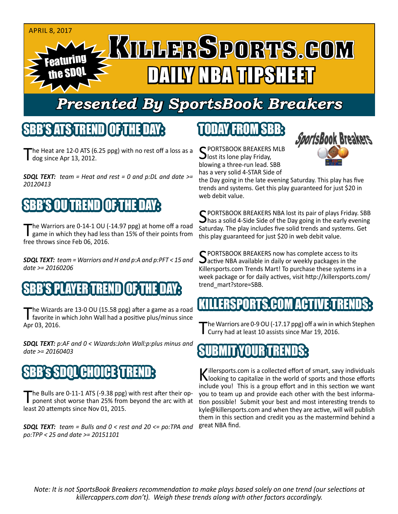#### April 8, 2017

# Featuring the SDQL DAILY NBA TIPSHEET

# *Presented By SportsBook Breakers*

### SBB'S ATS TREND

he Heat are 12-0 ATS (6.25 ppg) with no rest off a loss as a dog since Apr 13, 2012.

*SDQL TEXT: team = Heat and rest = 0 and p:DL and date >= 20120413*

## SBB'S OUTREND OF THE DAY

The Warriors are 0-14-1 OU (-14.97 ppg) at home off a road<br>game in which they had less than 15% of their points from free throws since Feb 06, 2016.

*SDQL TEXT: team = Warriors and H and p:A and p:PFT < 15 and date >= 20160206*

### 'S PLAYER TREND I OF T

The Wizards are 13-0 OU (15.58 ppg) after a game as a road<br>
favorite in which John Wall had a positive plus/minus since Apr 03, 2016.

*SDQL TEXT: p:AF and 0 < Wizards:John Wall:p:plus minus and date >= 20160403*

#### SDOL CHOICE TR

'he Bulls are 0-11-1 ATS (-9.38 ppg) with rest after their opponent shot worse than 25% from beyond the arc with at least 20 attempts since Nov 01, 2015.

*SDQL TEXT: team = Bulls and 0 < rest and 20 <= po:TPA and po:TPP < 25 and date >= 20151101*

# TODAY FROM SBB:

C PORTSBOOK BREAKERS MLB lost its lone play Friday, blowing a three-run lead. SBB has a very solid 4-STAR Side of



the Day going in the late evening Saturday. This play has five trends and systems. Get this play guaranteed for just \$20 in web debit value.

C PORTSBOOK BREAKERS NBA lost its pair of plays Friday. SBB  $\Box$  has a solid 4-Side Side of the Day going in the early evening Saturday. The play includes five solid trends and systems. Get this play guaranteed for just \$20 in web debit value.

SPORTSBOOK BREAKERS now has complete access to its<br>active NBA available in daily or weekly packages in the Killersports.com Trends Mart! To purchase these systems in a week package or for daily actives, visit http://killersports.com/ trend\_mart?store=SBB.

### IKILLERSPORTS.COM ACTIVE T

The Warriors are 0-9 OU (-17.17 ppg) off a win in which Stephen<br>
Curry had at least 10 assists since Mar 19, 2016.

#### SUBMIT YOUR TRENDS:

Killersports.com is a collected effort of smart, savy individuals<br>Nooking to capitalize in the world of sports and those efforts include you! This is a group effort and in this section we want you to team up and provide each other with the best information possible! Submit your best and most interesting trends to kyle@killersports.com and when they are active, will will publish them in this section and credit you as the mastermind behind a great NBA find.

*Note: It is not SportsBook Breakers recommendation to make plays based solely on one trend (our selections at killercappers.com don't). Weigh these trends along with other factors accordingly.*